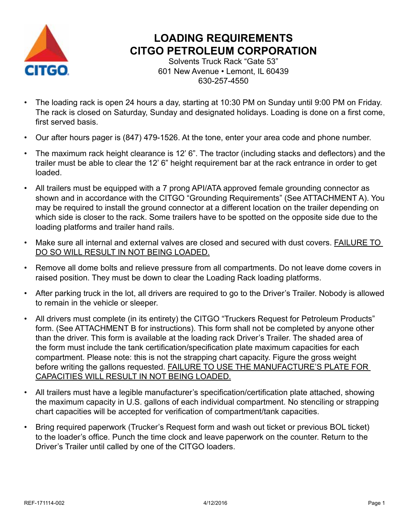

### **LOADING REQUIREMENTS CITGO PETROLEUM CORPORATION**

Solvents Truck Rack "Gate 53" 601 New Avenue • Lemont, IL 60439 630-257-4550

- The loading rack is open 24 hours a day, starting at 10:30 PM on Sunday until 9:00 PM on Friday. The rack is closed on Saturday, Sunday and designated holidays. Loading is done on a first come, first served basis.
- Our after hours pager is (847) 479-1526. At the tone, enter your area code and phone number.
- The maximum rack height clearance is 12' 6". The tractor (including stacks and deflectors) and the trailer must be able to clear the 12' 6" height requirement bar at the rack entrance in order to get loaded.
- All trailers must be equipped with a 7 prong API/ATA approved female grounding connector as shown and in accordance with the CITGO "Grounding Requirements" (See ATTACHMENT A). You may be required to install the ground connector at a different location on the trailer depending on which side is closer to the rack. Some trailers have to be spotted on the opposite side due to the loading platforms and trailer hand rails.
- Make sure all internal and external valves are closed and secured with dust covers. FAILURE TO DO SO WILL RESULT IN NOT BEING LOADED.
- Remove all dome bolts and relieve pressure from all compartments. Do not leave dome covers in raised position. They must be down to clear the Loading Rack loading platforms.
- After parking truck in the lot, all drivers are required to go to the Driver's Trailer. Nobody is allowed to remain in the vehicle or sleeper.
- All drivers must complete (in its entirety) the CITGO "Truckers Request for Petroleum Products" form. (See ATTACHMENT B for instructions). This form shall not be completed by anyone other than the driver. This form is available at the loading rack Driver's Trailer. The shaded area of the form must include the tank certification/specification plate maximum capacities for each compartment. Please note: this is not the strapping chart capacity. Figure the gross weight before writing the gallons requested. FAILURE TO USE THE MANUFACTURE'S PLATE FOR CAPACITIES WILL RESULT IN NOT BEING LOADED.
- All trailers must have a legible manufacturer's specification/certification plate attached, showing the maximum capacity in U.S. gallons of each individual compartment. No stenciling or strapping chart capacities will be accepted for verification of compartment/tank capacities.
- Bring required paperwork (Trucker's Request form and wash out ticket or previous BOL ticket) to the loader's office. Punch the time clock and leave paperwork on the counter. Return to the Driver's Trailer until called by one of the CITGO loaders.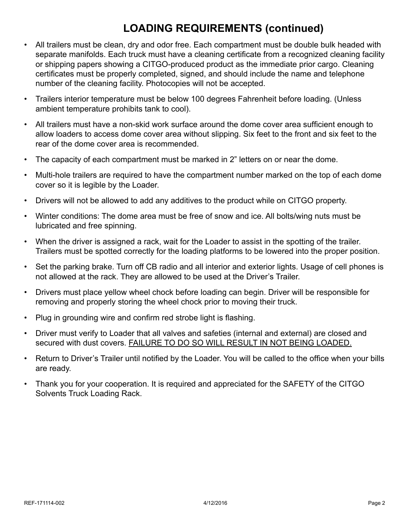### **LOADING REQUIREMENTS (continued)**

- All trailers must be clean, dry and odor free. Each compartment must be double bulk headed with separate manifolds. Each truck must have a cleaning certificate from a recognized cleaning facility or shipping papers showing a CITGO-produced product as the immediate prior cargo. Cleaning certificates must be properly completed, signed, and should include the name and telephone number of the cleaning facility. Photocopies will not be accepted.
- Trailers interior temperature must be below 100 degrees Fahrenheit before loading. (Unless ambient temperature prohibits tank to cool).
- All trailers must have a non-skid work surface around the dome cover area sufficient enough to allow loaders to access dome cover area without slipping. Six feet to the front and six feet to the rear of the dome cover area is recommended.
- The capacity of each compartment must be marked in 2" letters on or near the dome.
- Multi-hole trailers are required to have the compartment number marked on the top of each dome cover so it is legible by the Loader.
- Drivers will not be allowed to add any additives to the product while on CITGO property.
- Winter conditions: The dome area must be free of snow and ice. All bolts/wing nuts must be lubricated and free spinning.
- When the driver is assigned a rack, wait for the Loader to assist in the spotting of the trailer. Trailers must be spotted correctly for the loading platforms to be lowered into the proper position.
- Set the parking brake. Turn off CB radio and all interior and exterior lights. Usage of cell phones is not allowed at the rack. They are allowed to be used at the Driver's Trailer.
- Drivers must place yellow wheel chock before loading can begin. Driver will be responsible for removing and properly storing the wheel chock prior to moving their truck.
- Plug in grounding wire and confirm red strobe light is flashing.
- Driver must verify to Loader that all valves and safeties (internal and external) are closed and secured with dust covers. FAILURE TO DO SO WILL RESULT IN NOT BEING LOADED.
- Return to Driver's Trailer until notified by the Loader. You will be called to the office when your bills are ready.
- Thank you for your cooperation. It is required and appreciated for the SAFETY of the CITGO Solvents Truck Loading Rack.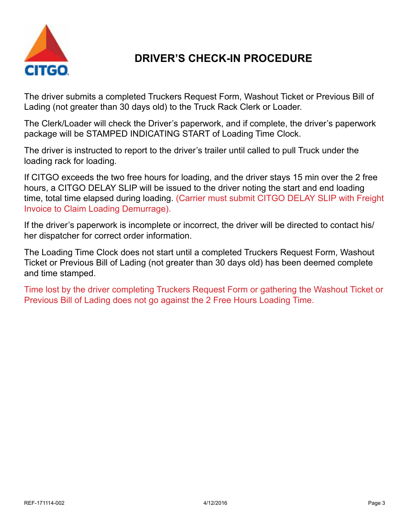

### **DRIVER'S CHECK-IN PROCEDURE**

The driver submits a completed Truckers Request Form, Washout Ticket or Previous Bill of Lading (not greater than 30 days old) to the Truck Rack Clerk or Loader.

The Clerk/Loader will check the Driver's paperwork, and if complete, the driver's paperwork package will be STAMPED INDICATING START of Loading Time Clock.

The driver is instructed to report to the driver's trailer until called to pull Truck under the loading rack for loading.

If CITGO exceeds the two free hours for loading, and the driver stays 15 min over the 2 free hours, a CITGO DELAY SLIP will be issued to the driver noting the start and end loading time, total time elapsed during loading. (Carrier must submit CITGO DELAY SLIP with Freight Invoice to Claim Loading Demurrage).

If the driver's paperwork is incomplete or incorrect, the driver will be directed to contact his/ her dispatcher for correct order information.

The Loading Time Clock does not start until a completed Truckers Request Form, Washout Ticket or Previous Bill of Lading (not greater than 30 days old) has been deemed complete and time stamped.

Time lost by the driver completing Truckers Request Form or gathering the Washout Ticket or Previous Bill of Lading does not go against the 2 Free Hours Loading Time.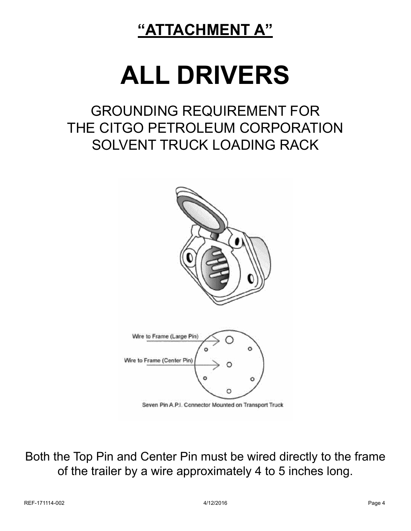## **"ATTACHMENT A"**

# **ALL DRIVERS**

## GROUNDING REQUIREMENT FOR THE CITGO PETROLEUM CORPORATION SOLVENT TRUCK LOADING RACK



Both the Top Pin and Center Pin must be wired directly to the frame of the trailer by a wire approximately 4 to 5 inches long.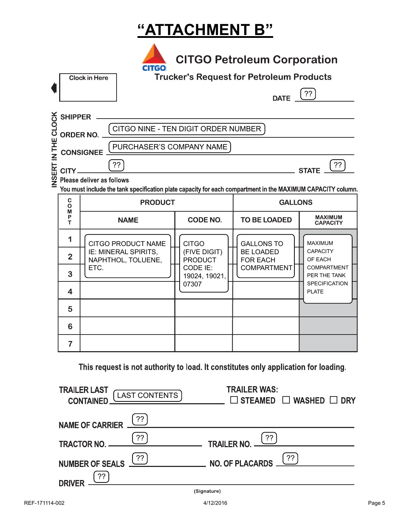## **"ATTACHMENT B"**

|               |                                                                                                                                                                               | <b>CITGO Petroleum Corporation</b><br><b>CITGO</b><br><b>Trucker's Request for Petroleum Products</b><br><b>Clock in Here</b><br>??<br><b>DATE</b> |                                            |                                |                                     |                                      |
|---------------|-------------------------------------------------------------------------------------------------------------------------------------------------------------------------------|----------------------------------------------------------------------------------------------------------------------------------------------------|--------------------------------------------|--------------------------------|-------------------------------------|--------------------------------------|
| <b>CLOCK</b>  | <b>SHIPPER</b><br>CITGO NINE - TEN DIGIT ORDER NUMBER                                                                                                                         |                                                                                                                                                    |                                            |                                |                                     |                                      |
|               | <b>ORDER NO.</b><br>PURCHASER'S COMPANY NAME<br><b>CONSIGNEE</b>                                                                                                              |                                                                                                                                                    |                                            |                                |                                     |                                      |
| INSERT IN THE | ??<br>??<br>CITY.<br><b>STATE</b><br>Please deliver as follows<br>You must include the tank specification plate capacity for each compartment in the MAXIMUM CAPACITY column. |                                                                                                                                                    |                                            |                                |                                     |                                      |
|               | $\mathbf C$<br>$\mathbf{o}$                                                                                                                                                   | <b>PRODUCT</b>                                                                                                                                     |                                            | <b>GALLONS</b>                 |                                     |                                      |
|               |                                                                                                                                                                               |                                                                                                                                                    |                                            |                                |                                     |                                      |
|               | M<br>P<br>т                                                                                                                                                                   |                                                                                                                                                    | <b>NAME</b>                                | <b>CODE NO.</b>                | <b>TO BE LOADED</b>                 | <b>MAXIMUM</b><br><b>CAPACITY</b>    |
|               | 1                                                                                                                                                                             |                                                                                                                                                    | <b>CITGO PRODUCT NAME</b>                  | <b>CITGO</b>                   | <b>GALLONS TO</b>                   | <b>MAXIMUM</b>                       |
|               | $\overline{2}$                                                                                                                                                                |                                                                                                                                                    | IE: MINERAL SPIRITS,<br>NAPHTHOL, TOLUENE, | (FIVE DIGIT)<br><b>PRODUCT</b> | <b>BE LOADED</b><br><b>FOR EACH</b> | <b>CAPACITY</b><br>OF EACH           |
|               | 3                                                                                                                                                                             | ETC.                                                                                                                                               |                                            | CODE IE:<br>19024, 19021,      | <b>COMPARTMENT</b>                  | <b>COMPARTMENT</b><br>PER THE TANK   |
|               | 4                                                                                                                                                                             |                                                                                                                                                    |                                            | 07307                          |                                     | <b>SPECIFICATION</b><br><b>PLATE</b> |
|               | 5                                                                                                                                                                             |                                                                                                                                                    |                                            |                                |                                     |                                      |
|               | 6                                                                                                                                                                             |                                                                                                                                                    |                                            |                                |                                     |                                      |

This request is not authority to load. It constitutes only application for loading.

| <b>TRAILER LAST</b><br><b>CONTAINED</b> | <b>TRAILER WAS:</b><br>[LAST CONTENTS]<br>$\Box$ STEAMED $\Box$ WASHED $\Box$ DRY |
|-----------------------------------------|-----------------------------------------------------------------------------------|
| NAME OF CARRIER <u>(??)</u>             |                                                                                   |
| $\frac{22}{1}$<br><b>TRACTOR NO.</b>    | TRAILER NO. <sup>22</sup>                                                         |
| $($ ??<br><b>NUMBER OF SEALS</b>        | NO. OF PLACARDS (??)                                                              |
| ??<br><b>DRIVER</b>                     |                                                                                   |
|                                         | (Signature)                                                                       |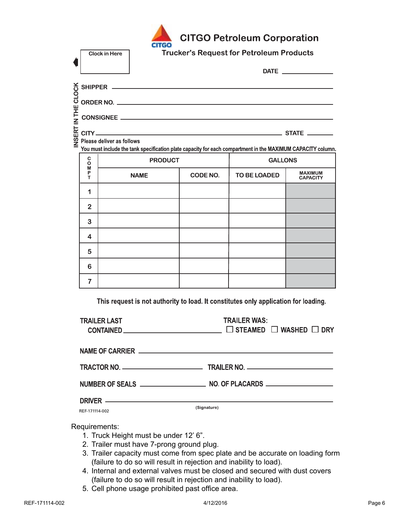

**Clock in Here** 

**CITGO Petroleum Corporation** 

**Trucker's Request for Petroleum Products** 

|  | $\frac{X}{C}$ SHIPPER $\frac{X}{C}$                                                                         |  |
|--|-------------------------------------------------------------------------------------------------------------|--|
|  | $\frac{3}{2}$ ORDER NO.                                                                                     |  |
|  | $\frac{11}{2}$ CONSIGNEE                                                                                    |  |
|  |                                                                                                             |  |
|  | You must include the tank specification plate capacity for each compartment in the MAXIMUM CAPACITY column. |  |

| C<br>D<br>D<br>P | <b>PRODUCT</b> |          | <b>GALLONS</b> |                                   |
|------------------|----------------|----------|----------------|-----------------------------------|
| T                | <b>NAME</b>    | CODE NO. | TO BE LOADED   | <b>MAXIMUM</b><br><b>CAPACITY</b> |
| ٩                |                |          |                |                                   |
| $\overline{2}$   |                |          |                |                                   |
| 3                |                |          |                |                                   |
| $\overline{4}$   |                |          |                |                                   |
| 5                |                |          |                |                                   |
| 6                |                |          |                |                                   |
| 7                |                |          |                |                                   |

This request is not authority to load. It constitutes only application for loading.

| <b>TRAILER LAST</b> | <b>TRAILER WAS:</b><br>CONTAINED ____________________________ □ STEAMED □ WASHED □ DRY |
|---------------------|----------------------------------------------------------------------------------------|
|                     |                                                                                        |
|                     |                                                                                        |
|                     |                                                                                        |
| REF-171114-002      | DRIVER —————————————————————————————————<br>(Signature)                                |

#### Requirements:

- 1. Truck Height must be under 12' 6".
- 2. Trailer must have 7-prong ground plug.
- 3. Trailer capacity must come from spec plate and be accurate on loading form (failure to do so will result in rejection and inability to load).
- 4. Internal and external valves must be closed and secured with dust covers (failure to do so will result in rejection and inability to load).
- 5. Cell phone usage prohibited past office area.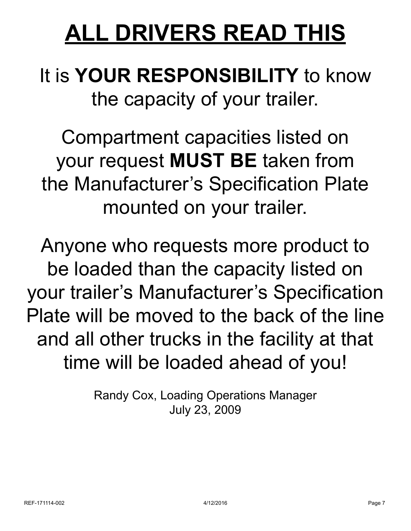# **ALL DRIVERS READ THIS**

# It is **YOUR RESPONSIBILITY** to know the capacity of your trailer.

Compartment capacities listed on your request **MUST BE** taken from the Manufacturer's Specification Plate mounted on your trailer.

Anyone who requests more product to be loaded than the capacity listed on your trailer's Manufacturer's Specification Plate will be moved to the back of the line and all other trucks in the facility at that time will be loaded ahead of you!

> Randy Cox, Loading Operations Manager July 23, 2009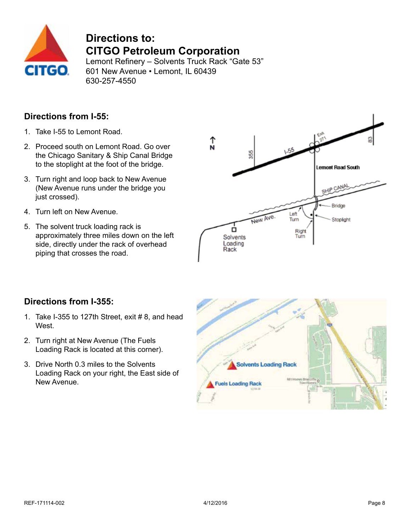

### **Directions to: CITGO Petroleum Corporation**

Lemont Refinery – Solvents Truck Rack "Gate 53" 601 New Avenue • Lemont, IL 60439 630-257-4550

#### **Directions from I-55:**

- 1. Take I-55 to Lemont Road.
- 2. Proceed south on Lemont Road. Go over the Chicago Sanitary & Ship Canal Bridge to the stoplight at the foot of the bridge.
- 3. Turn right and loop back to New Avenue (New Avenue runs under the bridge you just crossed).
- 4. Turn left on New Avenue.
- 5. The solvent truck loading rack is approximately three miles down on the left side, directly under the rack of overhead piping that crosses the road.



#### **Directions from I-355:**

- 1. Take I-355 to 127th Street, exit  $#8$ , and head West.
- 2. Turn right at New Avenue (The Fuels Loading Rack is located at this corner).
- 3. Drive North 0.3 miles to the Solvents Loading Rack on your right, the East side of New Avenue.

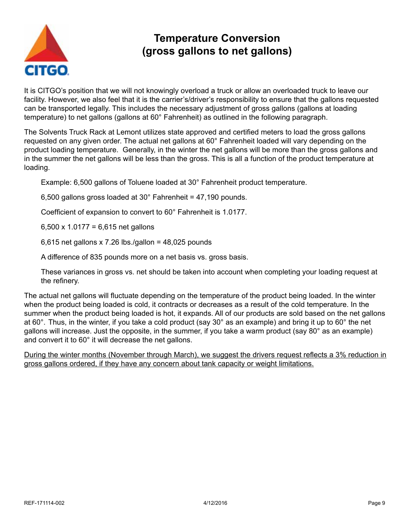

### **Temperature Conversion (gross gallons to net gallons)**

It is CITGO's position that we will not knowingly overload a truck or allow an overloaded truck to leave our facility. However, we also feel that it is the carrier's/driver's responsibility to ensure that the gallons requested can be transported legally. This includes the necessary adjustment of gross gallons (gallons at loading temperature) to net gallons (gallons at 60° Fahrenheit) as outlined in the following paragraph.

The Solvents Truck Rack at Lemont utilizes state approved and certified meters to load the gross gallons requested on any given order. The actual net gallons at 60° Fahrenheit loaded will vary depending on the product loading temperature. Generally, in the winter the net gallons will be more than the gross gallons and in the summer the net gallons will be less than the gross. This is all a function of the product temperature at loading.

Example: 6,500 gallons of Toluene loaded at 30° Fahrenheit product temperature.

6,500 gallons gross loaded at 30° Fahrenheit = 47,190 pounds.

Coefficient of expansion to convert to 60° Fahrenheit is 1.0177.

6,500 x 1.0177 = 6,615 net gallons

6,615 net gallons x 7.26 lbs./gallon = 48,025 pounds

A difference of 835 pounds more on a net basis vs. gross basis.

These variances in gross vs. net should be taken into account when completing your loading request at the refinery.

The actual net gallons will fluctuate depending on the temperature of the product being loaded. In the winter when the product being loaded is cold, it contracts or decreases as a result of the cold temperature. In the summer when the product being loaded is hot, it expands. All of our products are sold based on the net gallons at 60°. Thus, in the winter, if you take a cold product (say 30° as an example) and bring it up to 60° the net gallons will increase. Just the opposite, in the summer, if you take a warm product (say 80° as an example) and convert it to 60° it will decrease the net gallons.

During the winter months (November through March), we suggest the drivers request reflects a 3% reduction in gross gallons ordered, if they have any concern about tank capacity or weight limitations.